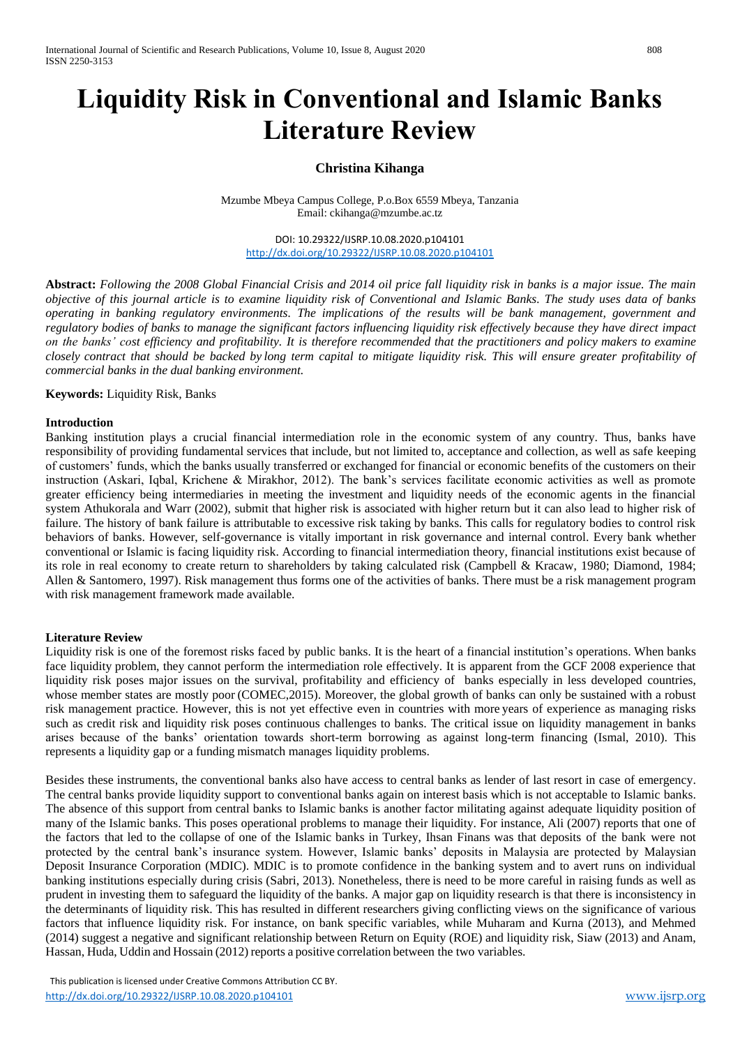# **Liquidity Risk in Conventional and Islamic Banks Literature Review**

# **Christina Kihanga**

Mzumbe Mbeya Campus College, P.o.Box 6559 Mbeya, Tanzania Email[: ckihanga@mzumbe.ac.tz](mailto:ckihanga@mzumbe.ac.tz)

DOI: 10.29322/IJSRP.10.08.2020.p104101 <http://dx.doi.org/10.29322/IJSRP.10.08.2020.p104101>

**Abstract:** *Following the 2008 Global Financial Crisis and 2014 oil price fall liquidity risk in banks is a major issue. The main objective of this journal article is to examine liquidity risk of Conventional and Islamic Banks. The study uses data of banks operating in banking regulatory environments. The implications of the results will be bank management, government and regulatory bodies of banks to manage the significant factors influencing liquidity risk effectively because they have direct impact on the banks' cost efficiency and profitability. It is therefore recommended that the practitioners and policy makers to examine closely contract that should be backed by long term capital to mitigate liquidity risk. This will ensure greater profitability of commercial banks in the dual banking environment.*

**Keywords:** Liquidity Risk, Banks

#### **Introduction**

Banking institution plays a crucial financial intermediation role in the economic system of any country. Thus, banks have responsibility of providing fundamental services that include, but not limited to, acceptance and collection, as well as safe keeping of customers' funds, which the banks usually transferred or exchanged for financial or economic benefits of the customers on their instruction (Askari, Iqbal, Krichene & Mirakhor, 2012). The bank's services facilitate economic activities as well as promote greater efficiency being intermediaries in meeting the investment and liquidity needs of the economic agents in the financial system Athukorala and Warr (2002), submit that higher risk is associated with higher return but it can also lead to higher risk of failure. The history of bank failure is attributable to excessive risk taking by banks. This calls for regulatory bodies to control risk behaviors of banks. However, self-governance is vitally important in risk governance and internal control. Every bank whether conventional or Islamic is facing liquidity risk. According to financial intermediation theory, financial institutions exist because of its role in real economy to create return to shareholders by taking calculated risk (Campbell & Kracaw, 1980; Diamond, 1984; Allen & Santomero, 1997). Risk management thus forms one of the activities of banks. There must be a risk management program with risk management framework made available.

## **Literature Review**

Liquidity risk is one of the foremost risks faced by public banks. It is the heart of a financial institution's operations. When banks face liquidity problem, they cannot perform the intermediation role effectively. It is apparent from the GCF 2008 experience that liquidity risk poses major issues on the survival, profitability and efficiency of banks especially in less developed countries, whose member states are mostly poor (COMEC,2015). Moreover, the global growth of banks can only be sustained with a robust risk management practice. However, this is not yet effective even in countries with more years of experience as managing risks such as credit risk and liquidity risk poses continuous challenges to banks. The critical issue on liquidity management in banks arises because of the banks' orientation towards short-term borrowing as against long-term financing (Ismal, 2010). This represents a liquidity gap or a funding mismatch manages liquidity problems.

Besides these instruments, the conventional banks also have access to central banks as lender of last resort in case of emergency. The central banks provide liquidity support to conventional banks again on interest basis which is not acceptable to Islamic banks. The absence of this support from central banks to Islamic banks is another factor militating against adequate liquidity position of many of the Islamic banks. This poses operational problems to manage their liquidity. For instance, Ali (2007) reports that one of the factors that led to the collapse of one of the Islamic banks in Turkey, Ihsan Finans was that deposits of the bank were not protected by the central bank's insurance system. However, Islamic banks' deposits in Malaysia are protected by Malaysian Deposit Insurance Corporation (MDIC). MDIC is to promote confidence in the banking system and to avert runs on individual banking institutions especially during crisis (Sabri, 2013). Nonetheless, there is need to be more careful in raising funds as well as prudent in investing them to safeguard the liquidity of the banks. A major gap on liquidity research is that there is inconsistency in the determinants of liquidity risk. This has resulted in different researchers giving conflicting views on the significance of various factors that influence liquidity risk. For instance, on bank specific variables, while Muharam and Kurna (2013), and Mehmed (2014) suggest a negative and significant relationship between Return on Equity (ROE) and liquidity risk, Siaw (2013) and Anam, Hassan, Huda, Uddin and Hossain (2012) reports a positive correlation between the two variables.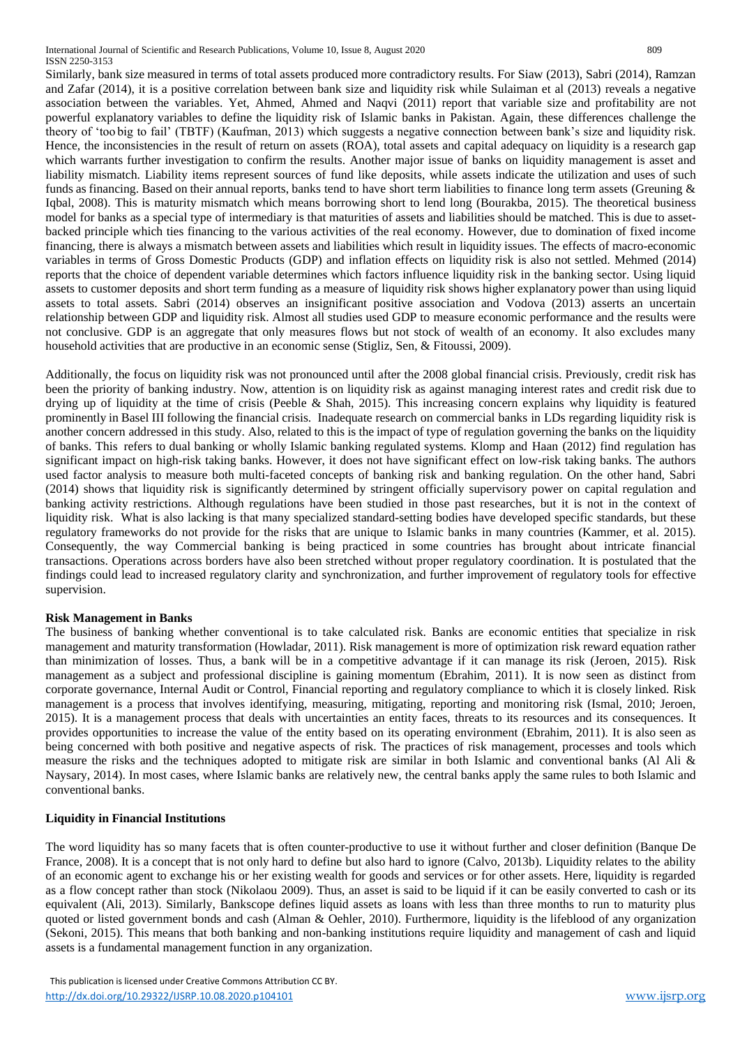Similarly, bank size measured in terms of total assets produced more contradictory results. For Siaw (2013), Sabri (2014), Ramzan and Zafar (2014), it is a positive correlation between bank size and liquidity risk while Sulaiman et al (2013) reveals a negative association between the variables. Yet, Ahmed, Ahmed and Naqvi (2011) report that variable size and profitability are not powerful explanatory variables to define the liquidity risk of Islamic banks in Pakistan. Again, these differences challenge the theory of 'too big to fail' (TBTF) (Kaufman, 2013) which suggests a negative connection between bank's size and liquidity risk. Hence, the inconsistencies in the result of return on assets (ROA), total assets and capital adequacy on liquidity is a research gap which warrants further investigation to confirm the results. Another major issue of banks on liquidity management is asset and liability mismatch. Liability items represent sources of fund like deposits, while assets indicate the utilization and uses of such funds as financing. Based on their annual reports, banks tend to have short term liabilities to finance long term assets (Greuning & Iqbal, 2008). This is maturity mismatch which means borrowing short to lend long (Bourakba, 2015). The theoretical business model for banks as a special type of intermediary is that maturities of assets and liabilities should be matched. This is due to assetbacked principle which ties financing to the various activities of the real economy. However, due to domination of fixed income financing, there is always a mismatch between assets and liabilities which result in liquidity issues. The effects of macro-economic variables in terms of Gross Domestic Products (GDP) and inflation effects on liquidity risk is also not settled. Mehmed (2014) reports that the choice of dependent variable determines which factors influence liquidity risk in the banking sector. Using liquid assets to customer deposits and short term funding as a measure of liquidity risk shows higher explanatory power than using liquid assets to total assets. Sabri (2014) observes an insignificant positive association and Vodova (2013) asserts an uncertain relationship between GDP and liquidity risk. Almost all studies used GDP to measure economic performance and the results were not conclusive. GDP is an aggregate that only measures flows but not stock of wealth of an economy. It also excludes many household activities that are productive in an economic sense (Stigliz, Sen, & Fitoussi, 2009).

Additionally, the focus on liquidity risk was not pronounced until after the 2008 global financial crisis. Previously, credit risk has been the priority of banking industry. Now, attention is on liquidity risk as against managing interest rates and credit risk due to drying up of liquidity at the time of crisis (Peeble & Shah, 2015). This increasing concern explains why liquidity is featured prominently in Basel III following the financial crisis. Inadequate research on commercial banks in LDs regarding liquidity risk is another concern addressed in this study. Also, related to this is the impact of type of regulation governing the banks on the liquidity of banks. This refers to dual banking or wholly Islamic banking regulated systems. Klomp and Haan (2012) find regulation has significant impact on high-risk taking banks. However, it does not have significant effect on low-risk taking banks. The authors used factor analysis to measure both multi-faceted concepts of banking risk and banking regulation. On the other hand, Sabri (2014) shows that liquidity risk is significantly determined by stringent officially supervisory power on capital regulation and banking activity restrictions. Although regulations have been studied in those past researches, but it is not in the context of liquidity risk. What is also lacking is that many specialized standard-setting bodies have developed specific standards, but these regulatory frameworks do not provide for the risks that are unique to Islamic banks in many countries (Kammer, et al. 2015). Consequently, the way Commercial banking is being practiced in some countries has brought about intricate financial transactions. Operations across borders have also been stretched without proper regulatory coordination. It is postulated that the findings could lead to increased regulatory clarity and synchronization, and further improvement of regulatory tools for effective supervision.

## **Risk Management in Banks**

The business of banking whether conventional is to take calculated risk. Banks are economic entities that specialize in risk management and maturity transformation (Howladar, 2011). Risk management is more of optimization risk reward equation rather than minimization of losses. Thus, a bank will be in a competitive advantage if it can manage its risk (Jeroen, 2015). Risk management as a subject and professional discipline is gaining momentum (Ebrahim, 2011). It is now seen as distinct from corporate governance, Internal Audit or Control, Financial reporting and regulatory compliance to which it is closely linked. Risk management is a process that involves identifying, measuring, mitigating, reporting and monitoring risk (Ismal, 2010; Jeroen, 2015). It is a management process that deals with uncertainties an entity faces, threats to its resources and its consequences. It provides opportunities to increase the value of the entity based on its operating environment (Ebrahim, 2011). It is also seen as being concerned with both positive and negative aspects of risk. The practices of risk management, processes and tools which measure the risks and the techniques adopted to mitigate risk are similar in both Islamic and conventional banks (Al Ali & Naysary, 2014). In most cases, where Islamic banks are relatively new, the central banks apply the same rules to both Islamic and conventional banks.

## **Liquidity in Financial Institutions**

The word liquidity has so many facets that is often counter-productive to use it without further and closer definition (Banque De France, 2008). It is a concept that is not only hard to define but also hard to ignore (Calvo, 2013b). Liquidity relates to the ability of an economic agent to exchange his or her existing wealth for goods and services or for other assets. Here, liquidity is regarded as a flow concept rather than stock (Nikolaou 2009). Thus, an asset is said to be liquid if it can be easily converted to cash or its equivalent (Ali, 2013). Similarly, Bankscope defines liquid assets as loans with less than three months to run to maturity plus quoted or listed government bonds and cash (Alman & Oehler, 2010). Furthermore, liquidity is the lifeblood of any organization (Sekoni, 2015). This means that both banking and non-banking institutions require liquidity and management of cash and liquid assets is a fundamental management function in any organization.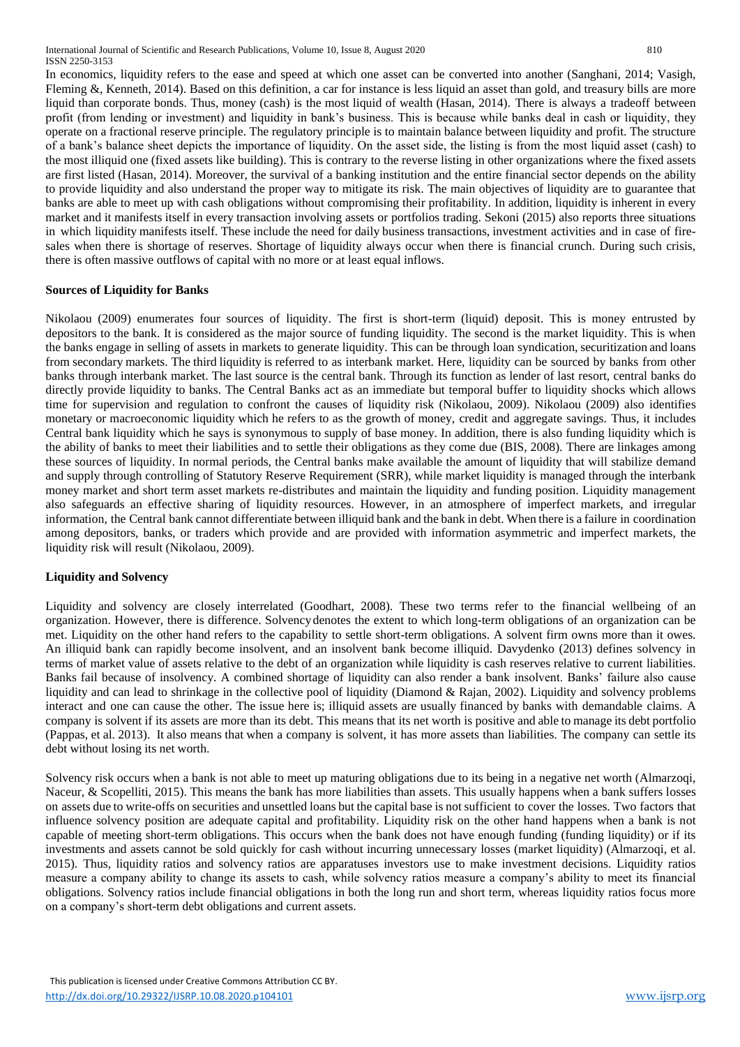In economics, liquidity refers to the ease and speed at which one asset can be converted into another (Sanghani, 2014; Vasigh, Fleming &, Kenneth, 2014). Based on this definition, a car for instance is less liquid an asset than gold, and treasury bills are more liquid than corporate bonds. Thus, money (cash) is the most liquid of wealth (Hasan, 2014). There is always a tradeoff between profit (from lending or investment) and liquidity in bank's business. This is because while banks deal in cash or liquidity, they operate on a fractional reserve principle. The regulatory principle is to maintain balance between liquidity and profit. The structure of a bank's balance sheet depicts the importance of liquidity. On the asset side, the listing is from the most liquid asset (cash) to the most illiquid one (fixed assets like building). This is contrary to the reverse listing in other organizations where the fixed assets are first listed (Hasan, 2014). Moreover, the survival of a banking institution and the entire financial sector depends on the ability to provide liquidity and also understand the proper way to mitigate its risk. The main objectives of liquidity are to guarantee that banks are able to meet up with cash obligations without compromising their profitability. In addition, liquidity is inherent in every market and it manifests itself in every transaction involving assets or portfolios trading. Sekoni (2015) also reports three situations in which liquidity manifests itself. These include the need for daily business transactions, investment activities and in case of firesales when there is shortage of reserves. Shortage of liquidity always occur when there is financial crunch. During such crisis, there is often massive outflows of capital with no more or at least equal inflows.

## **Sources of Liquidity for Banks**

Nikolaou (2009) enumerates four sources of liquidity. The first is short-term (liquid) deposit. This is money entrusted by depositors to the bank. It is considered as the major source of funding liquidity. The second is the market liquidity. This is when the banks engage in selling of assets in markets to generate liquidity. This can be through loan syndication, securitization and loans from secondary markets. The third liquidity is referred to as interbank market. Here, liquidity can be sourced by banks from other banks through interbank market. The last source is the central bank. Through its function as lender of last resort, central banks do directly provide liquidity to banks. The Central Banks act as an immediate but temporal buffer to liquidity shocks which allows time for supervision and regulation to confront the causes of liquidity risk (Nikolaou, 2009). Nikolaou (2009) also identifies monetary or macroeconomic liquidity which he refers to as the growth of money, credit and aggregate savings. Thus, it includes Central bank liquidity which he says is synonymous to supply of base money. In addition, there is also funding liquidity which is the ability of banks to meet their liabilities and to settle their obligations as they come due (BIS, 2008). There are linkages among these sources of liquidity. In normal periods, the Central banks make available the amount of liquidity that will stabilize demand and supply through controlling of Statutory Reserve Requirement (SRR), while market liquidity is managed through the interbank money market and short term asset markets re-distributes and maintain the liquidity and funding position. Liquidity management also safeguards an effective sharing of liquidity resources. However, in an atmosphere of imperfect markets, and irregular information, the Central bank cannot differentiate between illiquid bank and the bank in debt. When there is a failure in coordination among depositors, banks, or traders which provide and are provided with information asymmetric and imperfect markets, the liquidity risk will result (Nikolaou, 2009).

## **Liquidity and Solvency**

Liquidity and solvency are closely interrelated (Goodhart, 2008). These two terms refer to the financial wellbeing of an organization. However, there is difference. Solvencydenotes the extent to which long-term obligations of an organization can be met. Liquidity on the other hand refers to the capability to settle short-term obligations. A solvent firm owns more than it owes. An illiquid bank can rapidly become insolvent, and an insolvent bank become illiquid. Davydenko (2013) defines solvency in terms of market value of assets relative to the debt of an organization while liquidity is cash reserves relative to current liabilities. Banks fail because of insolvency. A combined shortage of liquidity can also render a bank insolvent. Banks' failure also cause liquidity and can lead to shrinkage in the collective pool of liquidity (Diamond & Rajan, 2002). Liquidity and solvency problems interact and one can cause the other. The issue here is; illiquid assets are usually financed by banks with demandable claims. A company is solvent if its assets are more than its debt. This means that its net worth is positive and able to manage its debt portfolio (Pappas, et al. 2013). It also means that when a company is solvent, it has more assets than liabilities. The company can settle its debt without losing its net worth.

Solvency risk occurs when a bank is not able to meet up maturing obligations due to its being in a negative net worth (Almarzoqi, Naceur, & Scopelliti, 2015). This means the bank has more liabilities than assets. This usually happens when a bank suffers losses on assets due to write-offs on securities and unsettled loans but the capital base is not sufficient to cover the losses. Two factors that influence solvency position are adequate capital and profitability. Liquidity risk on the other hand happens when a bank is not capable of meeting short-term obligations. This occurs when the bank does not have enough funding (funding liquidity) or if its investments and assets cannot be sold quickly for cash without incurring unnecessary losses (market liquidity) (Almarzoqi, et al. 2015). Thus, liquidity ratios and solvency ratios are apparatuses investors use to make investment decisions. Liquidity ratios measure a company ability to change its assets to cash, while solvency ratios measure a company's ability to meet its financial obligations. Solvency ratios include financial obligations in both the long run and short term, whereas liquidity ratios focus more on a company's short-term debt obligations and current assets.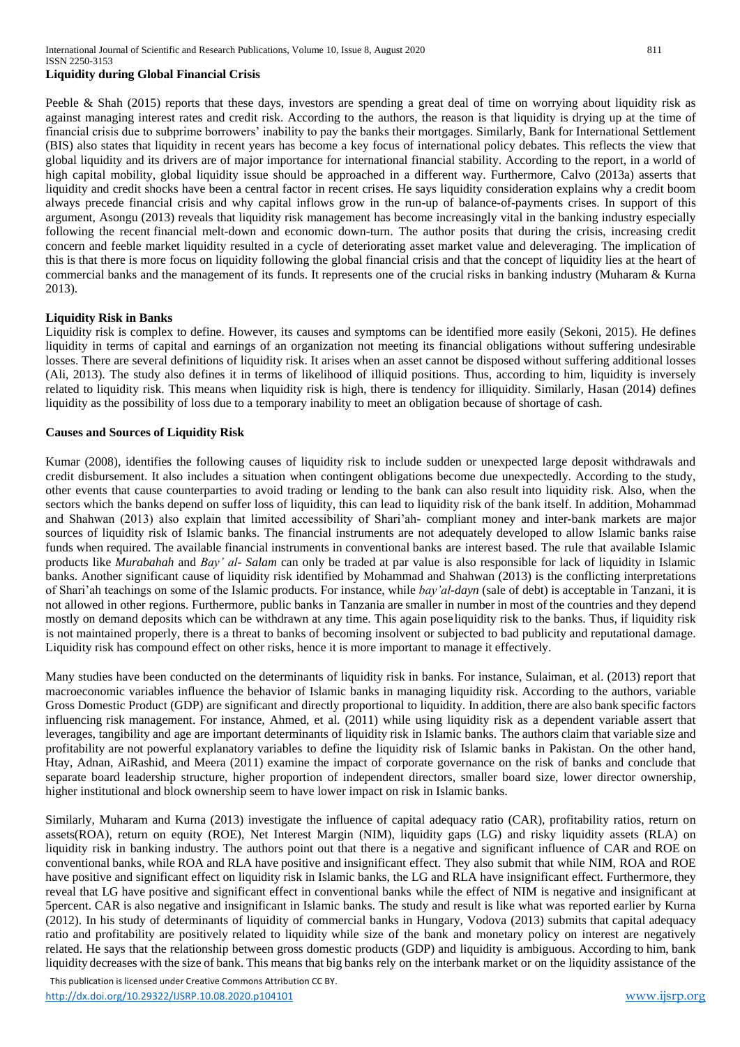## **Liquidity during Global Financial Crisis**

Peeble & Shah (2015) reports that these days, investors are spending a great deal of time on worrying about liquidity risk as against managing interest rates and credit risk. According to the authors, the reason is that liquidity is drying up at the time of financial crisis due to subprime borrowers' inability to pay the banks their mortgages. Similarly, Bank for International Settlement (BIS) also states that liquidity in recent years has become a key focus of international policy debates. This reflects the view that global liquidity and its drivers are of major importance for international financial stability. According to the report, in a world of high capital mobility, global liquidity issue should be approached in a different way. Furthermore, Calvo (2013a) asserts that liquidity and credit shocks have been a central factor in recent crises. He says liquidity consideration explains why a credit boom always precede financial crisis and why capital inflows grow in the run-up of balance-of-payments crises. In support of this argument, Asongu (2013) reveals that liquidity risk management has become increasingly vital in the banking industry especially following the recent financial melt-down and economic down-turn. The author posits that during the crisis, increasing credit concern and feeble market liquidity resulted in a cycle of deteriorating asset market value and deleveraging. The implication of this is that there is more focus on liquidity following the global financial crisis and that the concept of liquidity lies at the heart of commercial banks and the management of its funds. It represents one of the crucial risks in banking industry (Muharam & Kurna 2013).

#### **Liquidity Risk in Banks**

Liquidity risk is complex to define. However, its causes and symptoms can be identified more easily (Sekoni, 2015). He defines liquidity in terms of capital and earnings of an organization not meeting its financial obligations without suffering undesirable losses. There are several definitions of liquidity risk. It arises when an asset cannot be disposed without suffering additional losses (Ali, 2013). The study also defines it in terms of likelihood of illiquid positions. Thus, according to him, liquidity is inversely related to liquidity risk. This means when liquidity risk is high, there is tendency for illiquidity. Similarly, Hasan (2014) defines liquidity as the possibility of loss due to a temporary inability to meet an obligation because of shortage of cash.

#### **Causes and Sources of Liquidity Risk**

Kumar (2008), identifies the following causes of liquidity risk to include sudden or unexpected large deposit withdrawals and credit disbursement. It also includes a situation when contingent obligations become due unexpectedly. According to the study, other events that cause counterparties to avoid trading or lending to the bank can also result into liquidity risk. Also, when the sectors which the banks depend on suffer loss of liquidity, this can lead to liquidity risk of the bank itself. In addition, Mohammad and Shahwan (2013) also explain that limited accessibility of Shari'ah- compliant money and inter-bank markets are major sources of liquidity risk of Islamic banks. The financial instruments are not adequately developed to allow Islamic banks raise funds when required. The available financial instruments in conventional banks are interest based. The rule that available Islamic products like *Murabahah* and *Bay' al- Salam* can only be traded at par value is also responsible for lack of liquidity in Islamic banks. Another significant cause of liquidity risk identified by Mohammad and Shahwan (2013) is the conflicting interpretations of Shari'ah teachings on some of the Islamic products. For instance, while *bay'al-dayn* (sale of debt) is acceptable in Tanzani, it is not allowed in other regions. Furthermore, public banks in Tanzania are smaller in number in most of the countries and they depend mostly on demand deposits which can be withdrawn at any time. This again poseliquidity risk to the banks. Thus, if liquidity risk is not maintained properly, there is a threat to banks of becoming insolvent or subjected to bad publicity and reputational damage. Liquidity risk has compound effect on other risks, hence it is more important to manage it effectively.

Many studies have been conducted on the determinants of liquidity risk in banks. For instance, Sulaiman, et al. (2013) report that macroeconomic variables influence the behavior of Islamic banks in managing liquidity risk. According to the authors, variable Gross Domestic Product (GDP) are significant and directly proportional to liquidity. In addition, there are also bank specific factors influencing risk management. For instance, Ahmed, et al. (2011) while using liquidity risk as a dependent variable assert that leverages, tangibility and age are important determinants of liquidity risk in Islamic banks. The authors claim that variable size and profitability are not powerful explanatory variables to define the liquidity risk of Islamic banks in Pakistan. On the other hand, Htay, Adnan, AiRashid, and Meera (2011) examine the impact of corporate governance on the risk of banks and conclude that separate board leadership structure, higher proportion of independent directors, smaller board size, lower director ownership, higher institutional and block ownership seem to have lower impact on risk in Islamic banks.

Similarly, Muharam and Kurna (2013) investigate the influence of capital adequacy ratio (CAR), profitability ratios, return on assets(ROA), return on equity (ROE), Net Interest Margin (NIM), liquidity gaps (LG) and risky liquidity assets (RLA) on liquidity risk in banking industry. The authors point out that there is a negative and significant influence of CAR and ROE on conventional banks, while ROA and RLA have positive and insignificant effect. They also submit that while NIM, ROA and ROE have positive and significant effect on liquidity risk in Islamic banks, the LG and RLA have insignificant effect. Furthermore, they reveal that LG have positive and significant effect in conventional banks while the effect of NIM is negative and insignificant at 5percent. CAR is also negative and insignificant in Islamic banks. The study and result is like what was reported earlier by Kurna (2012). In his study of determinants of liquidity of commercial banks in Hungary, Vodova (2013) submits that capital adequacy ratio and profitability are positively related to liquidity while size of the bank and monetary policy on interest are negatively related. He says that the relationship between gross domestic products (GDP) and liquidity is ambiguous. According to him, bank liquidity decreases with the size of bank. This means that big banks rely on the interbank market or on the liquidity assistance of the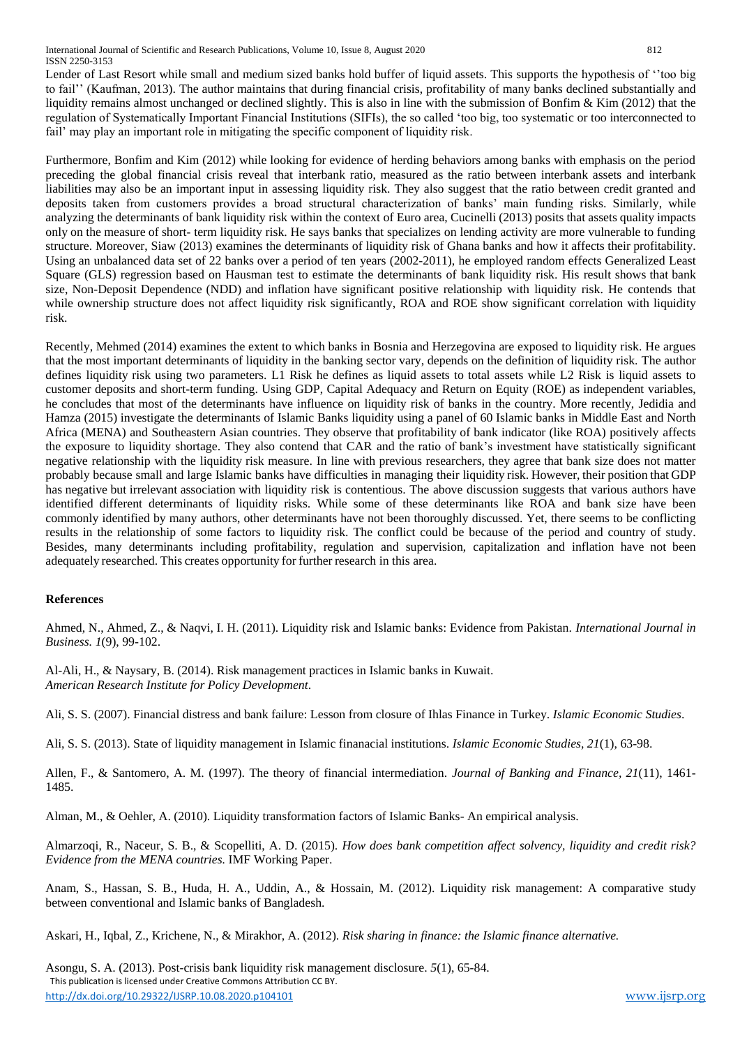International Journal of Scientific and Research Publications, Volume 10, Issue 8, August 2020 812 ISSN 2250-3153

Lender of Last Resort while small and medium sized banks hold buffer of liquid assets. This supports the hypothesis of ''too big to fail'' (Kaufman, 2013). The author maintains that during financial crisis, profitability of many banks declined substantially and liquidity remains almost unchanged or declined slightly. This is also in line with the submission of Bonfim & Kim (2012) that the regulation of Systematically Important Financial Institutions (SIFIs), the so called 'too big, too systematic or too interconnected to fail' may play an important role in mitigating the specific component of liquidity risk.

Furthermore, Bonfim and Kim (2012) while looking for evidence of herding behaviors among banks with emphasis on the period preceding the global financial crisis reveal that interbank ratio, measured as the ratio between interbank assets and interbank liabilities may also be an important input in assessing liquidity risk. They also suggest that the ratio between credit granted and deposits taken from customers provides a broad structural characterization of banks' main funding risks. Similarly, while analyzing the determinants of bank liquidity risk within the context of Euro area, Cucinelli (2013) posits that assets quality impacts only on the measure of short- term liquidity risk. He says banks that specializes on lending activity are more vulnerable to funding structure. Moreover, Siaw (2013) examines the determinants of liquidity risk of Ghana banks and how it affects their profitability. Using an unbalanced data set of 22 banks over a period of ten years (2002-2011), he employed random effects Generalized Least Square (GLS) regression based on Hausman test to estimate the determinants of bank liquidity risk. His result shows that bank size, Non-Deposit Dependence (NDD) and inflation have significant positive relationship with liquidity risk. He contends that while ownership structure does not affect liquidity risk significantly, ROA and ROE show significant correlation with liquidity risk.

Recently, Mehmed (2014) examines the extent to which banks in Bosnia and Herzegovina are exposed to liquidity risk. He argues that the most important determinants of liquidity in the banking sector vary, depends on the definition of liquidity risk. The author defines liquidity risk using two parameters. L1 Risk he defines as liquid assets to total assets while L2 Risk is liquid assets to customer deposits and short-term funding. Using GDP, Capital Adequacy and Return on Equity (ROE) as independent variables, he concludes that most of the determinants have influence on liquidity risk of banks in the country. More recently, Jedidia and Hamza (2015) investigate the determinants of Islamic Banks liquidity using a panel of 60 Islamic banks in Middle East and North Africa (MENA) and Southeastern Asian countries. They observe that profitability of bank indicator (like ROA) positively affects the exposure to liquidity shortage. They also contend that CAR and the ratio of bank's investment have statistically significant negative relationship with the liquidity risk measure. In line with previous researchers, they agree that bank size does not matter probably because small and large Islamic banks have difficulties in managing their liquidity risk. However, their position that GDP has negative but irrelevant association with liquidity risk is contentious. The above discussion suggests that various authors have identified different determinants of liquidity risks. While some of these determinants like ROA and bank size have been commonly identified by many authors, other determinants have not been thoroughly discussed. Yet, there seems to be conflicting results in the relationship of some factors to liquidity risk. The conflict could be because of the period and country of study. Besides, many determinants including profitability, regulation and supervision, capitalization and inflation have not been adequately researched. This creates opportunity for further research in this area.

# **References**

Ahmed, N., Ahmed, Z., & Naqvi, I. H. (2011). Liquidity risk and Islamic banks: Evidence from Pakistan. *International Journal in Business. 1*(9), 99-102.

Al-Ali, H., & Naysary, B. (2014). Risk management practices in Islamic banks in Kuwait. *American Research Institute for Policy Development*.

Ali, S. S. (2007). Financial distress and bank failure: Lesson from closure of Ihlas Finance in Turkey. *Islamic Economic Studies*.

Ali, S. S. (2013). State of liquidity management in Islamic finanacial institutions. *Islamic Economic Studies, 21*(1), 63-98.

Allen, F., & Santomero, A. M. (1997). The theory of financial intermediation. *Journal of Banking and Finance, 21*(11), 1461- 1485.

Alman, M., & Oehler, A. (2010). Liquidity transformation factors of Islamic Banks- An empirical analysis.

Almarzoqi, R., Naceur, S. B., & Scopelliti, A. D. (2015). *How does bank competition affect solvency, liquidity and credit risk? Evidence from the MENA countries.* IMF Working Paper.

Anam, S., Hassan, S. B., Huda, H. A., Uddin, A., & Hossain, M. (2012). Liquidity risk management: A comparative study between conventional and Islamic banks of Bangladesh.

Askari, H., Iqbal, Z., Krichene, N., & Mirakhor, A. (2012). *Risk sharing in finance: the Islamic finance alternative.*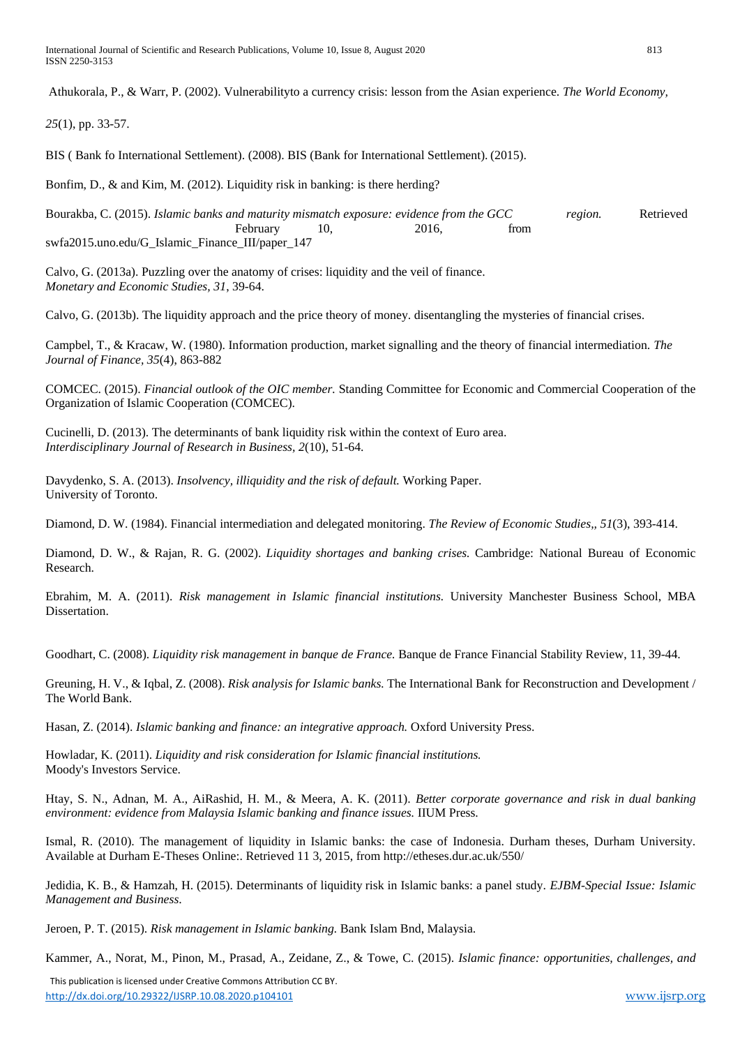Athukorala, P., & Warr, P. (2002). Vulnerabilityto a currency crisis: lesson from the Asian experience. *The World Economy,* 

*25*(1), pp. 33-57.

BIS ( Bank fo International Settlement). (2008). BIS (Bank for International Settlement). (2015).

Bonfim, D., & and Kim, M. (2012). Liquidity risk in banking: is there herding?

Bourakba, C. (2015). *Islamic banks and maturity mismatch exposure: evidence from the GCC region.* Retrieved February 10, 2016, from swfa2015.uno.edu/G\_Islamic\_Finance\_III/paper\_147

Calvo, G. (2013a). Puzzling over the anatomy of crises: liquidity and the veil of finance. *Monetary and Economic Studies, 31*, 39-64.

Calvo, G. (2013b). The liquidity approach and the price theory of money. disentangling the mysteries of financial crises.

Campbel, T., & Kracaw, W. (1980). Information production, market signalling and the theory of financial intermediation. *The Journal of Finance, 35*(4), 863-882

COMCEC. (2015). *Financial outlook of the OIC member.* Standing Committee for Economic and Commercial Cooperation of the Organization of Islamic Cooperation (COMCEC).

Cucinelli, D. (2013). The determinants of bank liquidity risk within the context of Euro area. *Interdisciplinary Journal of Research in Business, 2*(10), 51-64.

Davydenko, S. A. (2013). *Insolvency, illiquidity and the risk of default.* Working Paper. University of Toronto.

Diamond, D. W. (1984). Financial intermediation and delegated monitoring. *The Review of Economic Studies,, 51*(3), 393-414.

Diamond, D. W., & Rajan, R. G. (2002). *Liquidity shortages and banking crises.* Cambridge: National Bureau of Economic Research.

Ebrahim, M. A. (2011). *Risk management in Islamic financial institutions.* University Manchester Business School, MBA Dissertation.

Goodhart, C. (2008). *Liquidity risk management in banque de France.* Banque de France Financial Stability Review, 11, 39-44.

Greuning, H. V., & Iqbal, Z. (2008). *Risk analysis for Islamic banks.* The International Bank for Reconstruction and Development / The World Bank.

Hasan, Z. (2014). *Islamic banking and finance: an integrative approach.* Oxford University Press.

Howladar, K. (2011). *Liquidity and risk consideration for Islamic financial institutions.* Moody's Investors Service.

Htay, S. N., Adnan, M. A., AiRashid, H. M., & Meera, A. K. (2011). *Better corporate governance and risk in dual banking environment: evidence from Malaysia Islamic banking and finance issues.* IIUM Press.

Ismal, R. (2010). The management of liquidity in Islamic banks: the case of Indonesia. Durham theses, Durham University. Available at Durham E-Theses Online:. Retrieved 11 3, 2015, fr[om http://etheses.dur.ac.uk/550/](http://etheses.dur.ac.uk/550/)

Jedidia, K. B., & Hamzah, H. (2015). Determinants of liquidity risk in Islamic banks: a panel study. *EJBM-Special Issue: Islamic Management and Business*.

Jeroen, P. T. (2015). *Risk management in Islamic banking.* Bank Islam Bnd, Malaysia.

Kammer, A., Norat, M., Pinon, M., Prasad, A., Zeidane, Z., & Towe, C. (2015). *Islamic finance: opportunities, challenges, and*